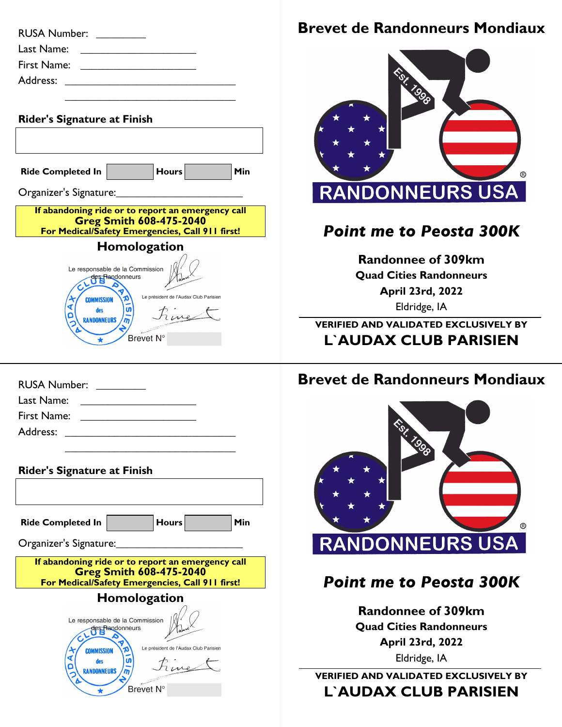| <b>RUSA Number:</b>                                                                                                                    |
|----------------------------------------------------------------------------------------------------------------------------------------|
| Last Name:<br>the control of the control of the control of                                                                             |
| First Name:                                                                                                                            |
| Address:                                                                                                                               |
|                                                                                                                                        |
| <b>Rider's Signature at Finish</b>                                                                                                     |
|                                                                                                                                        |
| <b>Hours</b><br>Min<br><b>Ride Completed In</b>                                                                                        |
| Organizer's Signature:_<br>$\mathcal{L}^{\text{max}}_{\text{max}}$ , where $\mathcal{L}^{\text{max}}_{\text{max}}$                     |
| If abandoning ride or to report an emergency call<br><b>Greg Smith 608-475-2040</b><br>For Medical/Safety Emergencies, Call 911 first! |
| Homologation                                                                                                                           |
| Le responsable de la Commission<br>des Randonneurs                                                                                     |
| Le président de l'Audax Club Parisien<br><b>COMMISSION</b><br>ທ<br>des<br>Give<br><b>RANDONNEURS</b>                                   |
| Brevet N°                                                                                                                              |

| <b>RUSA Number:</b><br><u> 1989 - Andrea State Barnett, ameri</u> kansk kon                                                        |
|------------------------------------------------------------------------------------------------------------------------------------|
| Last Name:<br><u> 1980 - Jan Samuel Barbara, martin da shekara 1980 - An tsara 1980 - An tsara 1980 - An tsara 1980 - An tsara</u> |
| First Name:<br><u> 1989 - Andrea British, president all</u>                                                                        |
| Address: _______________________                                                                                                   |
|                                                                                                                                    |

| <b>Rider's Signature at Finish</b>                                                                                                     |                                                         |                                              |     |
|----------------------------------------------------------------------------------------------------------------------------------------|---------------------------------------------------------|----------------------------------------------|-----|
|                                                                                                                                        |                                                         |                                              |     |
| <b>Ride Completed In</b>                                                                                                               |                                                         | <b>Hours</b>                                 | Min |
| Organizer's Signature:                                                                                                                 |                                                         |                                              |     |
| If abandoning ride or to report an emergency call<br><b>Greg Smith 608-475-2040</b><br>For Medical/Safety Emergencies, Call 911 first! |                                                         |                                              |     |
|                                                                                                                                        | Homologation                                            |                                              |     |
| <b>COMMISSION</b><br>des                                                                                                               | Le responsable de la Commission<br>des Randonneurs<br>ທ | Le président de l'Audax Club Parisien<br>ine |     |
|                                                                                                                                        | Brevet N°                                               |                                              |     |

## **Brevet de Randonneurs Mondiaux**



## *Point me to Peosta 300K*

**Randonnee of 309km Quad Cities Randonneurs April 23rd, 2022** Eldridge, IA

**VERIFIED AND VALIDATED EXCLUSIVELY BY L`AUDAX CLUB PARISIEN**

## **Brevet de Randonneurs Mondiaux**



## *Point me to Peosta 300K*

**Randonnee of 309km Quad Cities Randonneurs April 23rd, 2022** Eldridge, IA

**VERIFIED AND VALIDATED EXCLUSIVELY BY L`AUDAX CLUB PARISIEN**